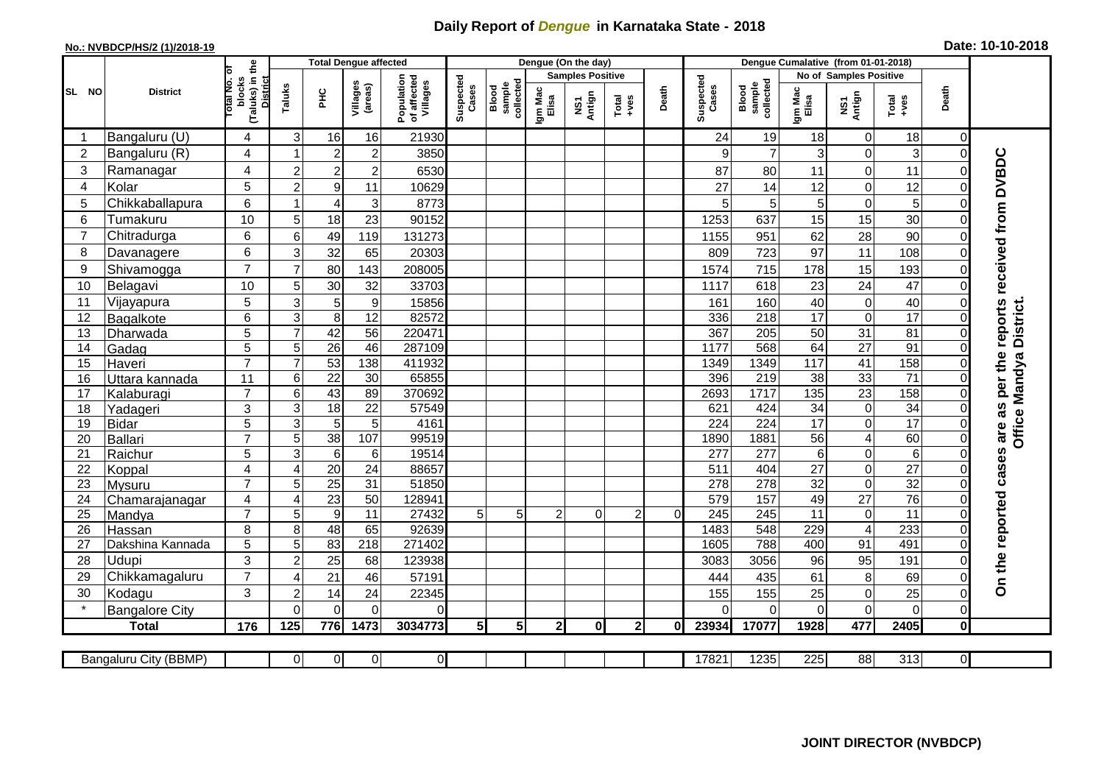## **Daily Report of** *Dengue* **in Karnataka State - 2018**

## **No.: NVBDCP/HS/2 (1)/2018-19 Date: 10-10-2018**

|                 |                         |                                                      |                |                      | <b>Total Dengue affected</b> |                                       |                    |                              |                         | Dengue (On the day) |                  |          |                          |                              |                      |                                                |                  |                                                |                                                                  |
|-----------------|-------------------------|------------------------------------------------------|----------------|----------------------|------------------------------|---------------------------------------|--------------------|------------------------------|-------------------------|---------------------|------------------|----------|--------------------------|------------------------------|----------------------|------------------------------------------------|------------------|------------------------------------------------|------------------------------------------------------------------|
|                 |                         |                                                      |                |                      |                              |                                       |                    |                              | <b>Samples Positive</b> |                     |                  |          | No of Samples Positive   |                              |                      |                                                |                  |                                                |                                                                  |
| SL NO           | <b>District</b>         | (Taluks) in the<br>District<br>otal No. ol<br>blocks | Taluks         | Ξ                    | Villages<br>(areas)          | Population<br>of affected<br>Villages | Suspected<br>Cases | Blood<br>sample<br>collected | Igm Mac<br>Elisa        | NS1<br>Antign       | $Tota$<br>$+ves$ | Death    | Suspected<br>Cases       | collected<br>sample<br>Blood | Igm Mac<br>Elisa     | NS1<br>Antign                                  | Total<br>$+ve$ s | Death                                          |                                                                  |
|                 | Bangaluru (U)           | $\overline{4}$                                       | 3              | 16                   | 16                           | 21930                                 |                    |                              |                         |                     |                  |          | 24                       | 19                           | 18                   | $\mathbf 0$                                    | 18               | 0                                              |                                                                  |
| $\overline{2}$  | Bangaluru (R)           | $\overline{4}$                                       |                | $\overline{c}$       | $\boldsymbol{2}$             | 3850                                  |                    |                              |                         |                     |                  |          | 9                        | $\overline{7}$               | 3                    | $\boldsymbol{0}$                               | 3                | $\mathbf 0$                                    |                                                                  |
| 3               | Ramanagar               | $\overline{4}$                                       | $\overline{c}$ | $\overline{2}$       | $\overline{c}$               | 6530                                  |                    |                              |                         |                     |                  |          | 87                       | 80                           | 11                   | $\mathsf{O}\xspace$                            | 11               | 0                                              | On the reported cases are as per the reports received from DVBDC |
| 4               | Kolar                   | 5                                                    | $\overline{c}$ | $\boldsymbol{9}$     | 11                           | 10629                                 |                    |                              |                         |                     |                  |          | 27                       | 14                           | 12                   | $\overline{0}$                                 | 12               | $\Omega$                                       |                                                                  |
| 5               | Chikkaballapura         | 6                                                    | 1              | $\overline{4}$       | 3                            | 8773                                  |                    |                              |                         |                     |                  |          | 5                        | 5                            | $\overline{5}$       | $\pmb{0}$                                      | 5                | 0                                              |                                                                  |
| 6               | Tumakuru                | 10                                                   | 5              | 18                   | 23                           | 90152                                 |                    |                              |                         |                     |                  |          | 1253                     | 637                          | 15                   | 15                                             | 30               | $\mathbf 0$                                    |                                                                  |
| 7               | Chitradurga             | 6                                                    | 6              | 49                   | 119                          | 131273                                |                    |                              |                         |                     |                  |          | 1155                     | 951                          | 62                   | 28                                             | 90               | $\pmb{0}$                                      |                                                                  |
| 8               | Davanagere              | 6                                                    | 3              | 32                   | 65                           | 20303                                 |                    |                              |                         |                     |                  |          | 809                      | 723                          | 97                   | 11                                             | 108              | $\mathbf 0$                                    |                                                                  |
| 9               | Shivamogga              | $\overline{7}$                                       | $\overline{7}$ | 80                   | 143                          | 208005                                |                    |                              |                         |                     |                  |          | 1574                     | 715                          | 178                  | 15                                             | 193              | $\Omega$                                       |                                                                  |
| 10              | Belagavi                | 10                                                   | 5              | 30                   | 32                           | 33703                                 |                    |                              |                         |                     |                  |          | 1117                     | 618                          | 23                   | 24                                             | 47               | $\mathbf 0$                                    |                                                                  |
| 11              | Vijayapura              | 5                                                    | 3              | $\overline{5}$       | $\boldsymbol{9}$             | 15856                                 |                    |                              |                         |                     |                  |          | 161                      | 160                          | 40                   | $\pmb{0}$                                      | 40               | $\mathbf 0$                                    |                                                                  |
| 12              | Bagalkote               | 6                                                    | 3              | $\overline{8}$       | 12                           | 82572                                 |                    |                              |                         |                     |                  |          | 336                      | $\overline{218}$             | 17                   | $\mathbf 0$                                    | 17               | $\Omega$                                       | District.                                                        |
| 13              | Dharwada                | 5                                                    | $\overline{7}$ | 42                   | $\overline{56}$              | 220471                                |                    |                              |                         |                     |                  |          | 367                      | 205                          | 50                   | 31                                             | 81               | $\overline{\mathsf{o}}$                        |                                                                  |
| 14              | Gadag                   | $\overline{5}$                                       | 5              | 26                   | 46                           | 287109                                |                    |                              |                         |                     |                  |          | 1177                     | 568                          | 64                   | 27                                             | $\overline{91}$  | $\mathbf 0$                                    |                                                                  |
| 15              | Haveri                  | $\overline{7}$                                       | $\overline{7}$ | 53                   | 138                          | 411932                                |                    |                              |                         |                     |                  |          | 1349                     | 1349                         | 117                  | 41                                             | 158              | $\mathbf 0$                                    | <b>Office Mandya</b>                                             |
| 16              | Uttara kannada          | 11                                                   | 6              | $\overline{22}$      | 30                           | 65855                                 |                    |                              |                         |                     |                  |          | 396                      | $\overline{219}$             | 38                   | 33                                             | 71               | $\mathsf{O}\xspace$                            |                                                                  |
| 17              | Kalaburagi              | $\overline{7}$                                       | 6              | 43                   | 89                           | 370692                                |                    |                              |                         |                     |                  |          | 2693                     | 1717                         | $\overline{135}$     | $\overline{23}$                                | 158              | $\mathbf 0$                                    |                                                                  |
| 18              | Yadageri                | 3                                                    | 3              | $\overline{18}$      | 22                           | 57549                                 |                    |                              |                         |                     |                  |          | 621                      | 424                          | 34                   | $\mathbf 0$                                    | $\overline{34}$  | $\overline{0}$                                 |                                                                  |
| 19              | <b>Bidar</b>            | 5<br>$\overline{7}$                                  | $\overline{3}$ | $\overline{5}$       | 5                            | 4161                                  |                    |                              |                         |                     |                  |          | 224                      | 224                          | 17                   | $\overline{0}$                                 | 17               | $\overline{0}$                                 |                                                                  |
| 20              | <b>Ballari</b>          | 5                                                    | 5<br>دی        | 38<br>$\overline{6}$ | 107                          | 99519<br>19514                        |                    |                              |                         |                     |                  |          | 1890<br>$\overline{277}$ | 1881<br>277                  | 56<br>$6\phantom{1}$ | $\overline{\mathbf{4}}$<br>$\mathsf{O}\xspace$ | 60<br>6          | $\mathsf{O}\xspace$<br>$\overline{\mathsf{o}}$ |                                                                  |
| 21<br>22        | Raichur                 | $\overline{4}$                                       | 4              | $\overline{20}$      | 6<br>24                      | 88657                                 |                    |                              |                         |                     |                  |          | 511                      | 404                          | $\overline{27}$      | $\mathbf 0$                                    | $\overline{27}$  | $\overline{0}$                                 |                                                                  |
| 23              | Koppal<br><b>Mysuru</b> | $\overline{7}$                                       | 5              | $\overline{25}$      | $\overline{31}$              | 51850                                 |                    |                              |                         |                     |                  |          | 278                      | $\overline{278}$             | $\overline{32}$      | $\mathbf 0$                                    | $\overline{32}$  | $\Omega$                                       |                                                                  |
| 24              | Chamarajanagar          | $\overline{4}$                                       | 4              | 23                   | 50                           | 12894 <sup>-</sup>                    |                    |                              |                         |                     |                  |          | 579                      | 157                          | 49                   | $\overline{27}$                                | 76               | $\mathbf 0$                                    |                                                                  |
| $\overline{25}$ | Mandya                  | $\overline{7}$                                       | 5              | $\overline{9}$       | 11                           | 27432                                 | 5                  | 5                            | 2                       | $\Omega$            | 2                | $\Omega$ | 245                      | 245                          | $\overline{11}$      | $\pmb{0}$                                      | $\overline{11}$  | 0                                              |                                                                  |
| 26              | Hassan                  | 8                                                    | 8              | 48                   | 65                           | 92639                                 |                    |                              |                         |                     |                  |          | 1483                     | 548                          | 229                  | $\overline{4}$                                 | 233              | $\mathbf 0$                                    |                                                                  |
| 27              | Dakshina Kannada        | 5                                                    | 5              | 83                   | 218                          | 271402                                |                    |                              |                         |                     |                  |          | 1605                     | 788                          | 400                  | 91                                             | 491              | $\overline{\mathsf{o}}$                        |                                                                  |
| 28              | Udupi                   | 3                                                    | $\overline{c}$ | 25                   | 68                           | 123938                                |                    |                              |                         |                     |                  |          | 3083                     | 3056                         | 96                   | 95                                             | 191              | 0                                              |                                                                  |
| 29              | Chikkamagaluru          | $\overline{7}$                                       | 4              | 21                   | 46                           | 57191                                 |                    |                              |                         |                     |                  |          | 444                      | 435                          | 61                   | 8                                              | 69               | 0                                              |                                                                  |
| 30              | Kodagu                  | 3                                                    | $\overline{c}$ | 14                   | 24                           | 22345                                 |                    |                              |                         |                     |                  |          | 155                      | 155                          | 25                   | $\pmb{0}$                                      | 25               | $\mathbf 0$                                    |                                                                  |
|                 | <b>Bangalore City</b>   |                                                      | $\overline{0}$ | $\Omega$             | $\Omega$                     | $\Omega$                              |                    |                              |                         |                     |                  |          | $\Omega$                 | $\Omega$                     | $\Omega$             | $\mathbf 0$                                    | $\Omega$         | $\overline{0}$                                 |                                                                  |
|                 | <b>Total</b>            | 176                                                  | 125            | 776                  | 1473                         | 3034773                               | 5 <sup>1</sup>     | 5 <sub>l</sub>               | $\mathbf{2}$            | 0l                  | 2 <sub>2</sub>   | Οl       | 23934                    | 17077                        | 1928                 | 477                                            | 2405             | $\pmb{0}$                                      |                                                                  |
|                 |                         |                                                      |                |                      |                              |                                       |                    |                              |                         |                     |                  |          |                          |                              |                      |                                                |                  |                                                |                                                                  |
|                 | Bangaluru City (BBMP)   |                                                      | $\overline{0}$ | $\overline{0}$       | $\overline{0}$               | $\overline{0}$                        |                    |                              |                         |                     |                  |          | 17821                    | 1235                         | 225                  | 88                                             | 313              | $\overline{0}$                                 |                                                                  |